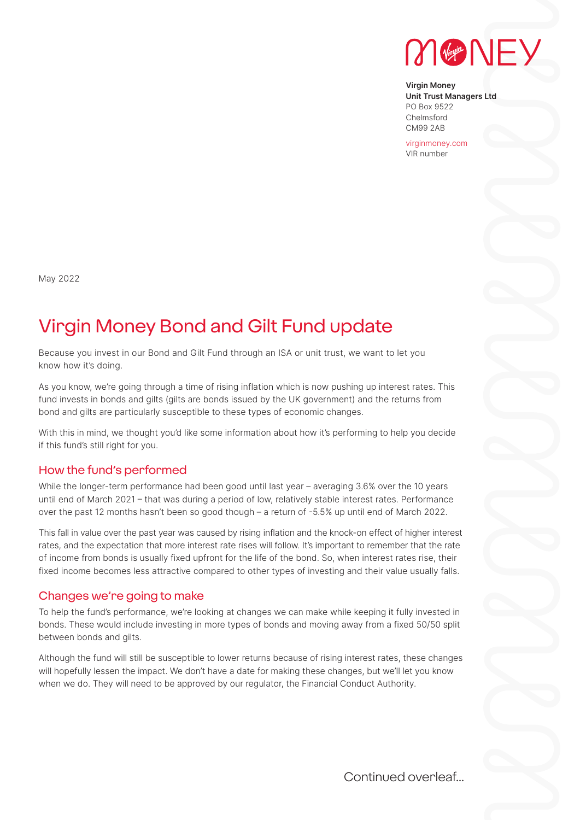

**Virgin Money Unit Trust Managers Ltd** PO Box 9522 Chelmsford CM99 2AB

virginmoney.com VIR number

May 2022

# Virgin Money Bond and Gilt Fund update

Because you invest in our Bond and Gilt Fund through an ISA or unit trust, we want to let you know how it's doing.

As you know, we're going through a time of rising inflation which is now pushing up interest rates. This fund invests in bonds and gilts (gilts are bonds issued by the UK government) and the returns from bond and gilts are particularly susceptible to these types of economic changes.

With this in mind, we thought you'd like some information about how it's performing to help you decide if this fund's still right for you.

## How the fund's performed

While the longer-term performance had been good until last year – averaging 3.6% over the 10 years until end of March 2021 – that was during a period of low, relatively stable interest rates. Performance over the past 12 months hasn't been so good though – a return of -5.5% up until end of March 2022.

This fall in value over the past year was caused by rising inflation and the knock-on effect of higher interest rates, and the expectation that more interest rate rises will follow. It's important to remember that the rate of income from bonds is usually fixed upfront for the life of the bond. So, when interest rates rise, their fixed income becomes less attractive compared to other types of investing and their value usually falls.

#### Changes we're going to make

To help the fund's performance, we're looking at changes we can make while keeping it fully invested in bonds. These would include investing in more types of bonds and moving away from a fixed 50/50 split between bonds and gilts.

Although the fund will still be susceptible to lower returns because of rising interest rates, these changes will hopefully lessen the impact. We don't have a date for making these changes, but we'll let you know when we do. They will need to be approved by our regulator, the Financial Conduct Authority.

Continued overleaf...